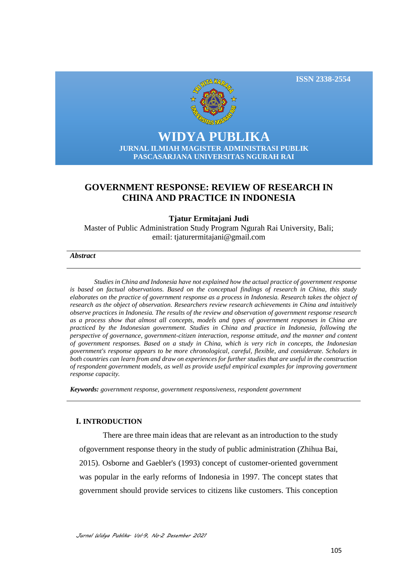



# **WIDYA PUBLIKA JURNAL ILMIAH MAGISTER ADMINISTRASI PUBLIK PASCASARJANA UNIVERSITAS NGURAH RAI**

# **GOVERNMENT RESPONSE: REVIEW OF RESEARCH IN CHINA AND PRACTICE IN INDONESIA**

## **Tjatur Ermitajani Judi**

Master of Public Administration Study Program Ngurah Rai University, Bali; email: [tjaturermitajani@gmail.com](mailto:tjaturermitajani@gmail.com)

#### *Abstract*

*Studies in China and Indonesia have not explained how the actual practice of government response is based on factual observations. Based on the conceptual findings of research in China, this study elaborates on the practice of government response as a process in Indonesia. Research takes the object of research as the object of observation. Researchers review research achievements in China and intuitively observe practices in Indonesia. The results of the review and observation of government response research as a process show that almost all concepts, models and types of government responses in China are practiced by the Indonesian government. Studies in China and practice in Indonesia, following the perspective of governance, government-citizen interaction, response attitude, and the manner and content of government responses. Based on a study in China, which is very rich in concepts, the Indonesian government's response appears to be more chronological, careful, flexible, and considerate. Scholars in both countries can learn from and draw on experiences for further studies that are useful in the construction of respondent government models, as well as provide useful empirical examples for improving government response capacity.*

*Keywords: government response, government responsiveness, respondent government*

### **I. INTRODUCTION**

There are three main ideas that are relevant as an introduction to the study ofgovernment response theory in the study of public administration (Zhihua Bai, 2015). Osborne and Gaebler's (1993) concept of customer-oriented government was popular in the early reforms of Indonesia in 1997. The concept states that government should provide services to citizens like customers. This conception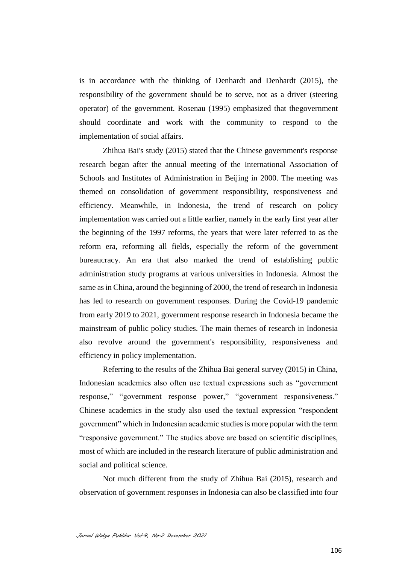is in accordance with the thinking of Denhardt and Denhardt (2015), the responsibility of the government should be to serve, not as a driver (steering operator) of the government. Rosenau (1995) emphasized that thegovernment should coordinate and work with the community to respond to the implementation of social affairs.

Zhihua Bai's study (2015) stated that the Chinese government's response research began after the annual meeting of the International Association of Schools and Institutes of Administration in Beijing in 2000. The meeting was themed on consolidation of government responsibility, responsiveness and efficiency. Meanwhile, in Indonesia, the trend of research on policy implementation was carried out a little earlier, namely in the early first year after the beginning of the 1997 reforms, the years that were later referred to as the reform era, reforming all fields, especially the reform of the government bureaucracy. An era that also marked the trend of establishing public administration study programs at various universities in Indonesia. Almost the same as in China, around the beginning of 2000, the trend of research in Indonesia has led to research on government responses. During the Covid-19 pandemic from early 2019 to 2021, government response research in Indonesia became the mainstream of public policy studies. The main themes of research in Indonesia also revolve around the government's responsibility, responsiveness and efficiency in policy implementation.

Referring to the results of the Zhihua Bai general survey (2015) in China, Indonesian academics also often use textual expressions such as "government response," "government response power," "government responsiveness." Chinese academics in the study also used the textual expression "respondent government" which in Indonesian academic studies is more popular with the term "responsive government." The studies above are based on scientific disciplines, most of which are included in the research literature of public administration and social and political science.

Not much different from the study of Zhihua Bai (2015), research and observation of government responses in Indonesia can also be classified into four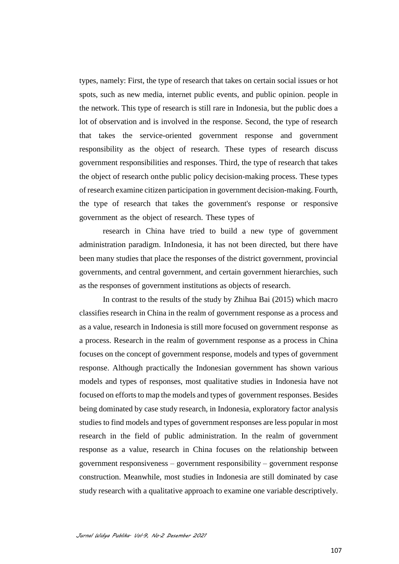types, namely: First, the type of research that takes on certain social issues or hot spots, such as new media, internet public events, and public opinion. people in the network. This type of research is still rare in Indonesia, but the public does a lot of observation and is involved in the response. Second, the type of research that takes the service-oriented government response and government responsibility as the object of research. These types of research discuss government responsibilities and responses. Third, the type of research that takes the object of research onthe public policy decision-making process. These types of research examine citizen participation in government decision-making. Fourth, the type of research that takes the government's response or responsive government as the object of research. These types of

research in China have tried to build a new type of government administration paradigm. InIndonesia, it has not been directed, but there have been many studies that place the responses of the district government, provincial governments, and central government, and certain government hierarchies, such as the responses of government institutions as objects of research.

In contrast to the results of the study by Zhihua Bai (2015) which macro classifies research in China in the realm of government response as a process and as a value, research in Indonesia is still more focused on government response as a process. Research in the realm of government response as a process in China focuses on the concept of government response, models and types of government response. Although practically the Indonesian government has shown various models and types of responses, most qualitative studies in Indonesia have not focused on efforts to map the models and types of government responses. Besides being dominated by case study research, in Indonesia, exploratory factor analysis studies to find models and types of government responses are less popular in most research in the field of public administration. In the realm of government response as a value, research in China focuses on the relationship between government responsiveness – government responsibility – government response construction. Meanwhile, most studies in Indonesia are still dominated by case study research with a qualitative approach to examine one variable descriptively.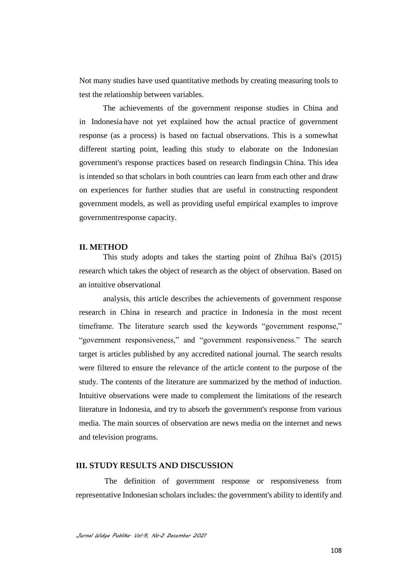Not many studies have used quantitative methods by creating measuring tools to test the relationship between variables.

The achievements of the government response studies in China and in Indonesia have not yet explained how the actual practice of government response (as a process) is based on factual observations. This is a somewhat different starting point, leading this study to elaborate on the Indonesian government's response practices based on research findingsin China. This idea is intended so that scholars in both countries can learn from each other and draw on experiences for further studies that are useful in constructing respondent government models, as well as providing useful empirical examples to improve governmentresponse capacity.

#### **II. METHOD**

This study adopts and takes the starting point of Zhihua Bai's (2015) research which takes the object of research as the object of observation. Based on an intuitive observational

analysis, this article describes the achievements of government response research in China in research and practice in Indonesia in the most recent timeframe. The literature search used the keywords "government response," "government responsiveness," and "government responsiveness." The search target is articles published by any accredited national journal. The search results were filtered to ensure the relevance of the article content to the purpose of the study. The contents of the literature are summarized by the method of induction. Intuitive observations were made to complement the limitations of the research literature in Indonesia, and try to absorb the government's response from various media. The main sources of observation are news media on the internet and news and television programs.

#### **III. STUDY RESULTS AND DISCUSSION**

The definition of government response or responsiveness from representative Indonesian scholars includes: the government's ability to identify and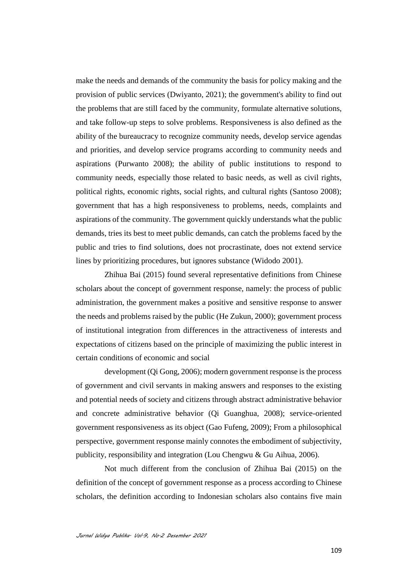make the needs and demands of the community the basis for policy making and the provision of public services (Dwiyanto, 2021); the government's ability to find out the problems that are still faced by the community, formulate alternative solutions, and take follow-up steps to solve problems. Responsiveness is also defined as the ability of the bureaucracy to recognize community needs, develop service agendas and priorities, and develop service programs according to community needs and aspirations (Purwanto 2008); the ability of public institutions to respond to community needs, especially those related to basic needs, as well as civil rights, political rights, economic rights, social rights, and cultural rights (Santoso 2008); government that has a high responsiveness to problems, needs, complaints and aspirations of the community. The government quickly understands what the public demands, tries its best to meet public demands, can catch the problems faced by the public and tries to find solutions, does not procrastinate, does not extend service lines by prioritizing procedures, but ignores substance (Widodo 2001).

Zhihua Bai (2015) found several representative definitions from Chinese scholars about the concept of government response, namely: the process of public administration, the government makes a positive and sensitive response to answer the needs and problems raised by the public (He Zukun, 2000); government process of institutional integration from differences in the attractiveness of interests and expectations of citizens based on the principle of maximizing the public interest in certain conditions of economic and social

development (Qi Gong, 2006); modern government response is the process of government and civil servants in making answers and responses to the existing and potential needs of society and citizens through abstract administrative behavior and concrete administrative behavior (Qi Guanghua, 2008); service-oriented government responsiveness as its object (Gao Fufeng, 2009); From a philosophical perspective, government response mainly connotes the embodiment of subjectivity, publicity, responsibility and integration (Lou Chengwu & Gu Aihua, 2006).

Not much different from the conclusion of Zhihua Bai (2015) on the definition of the concept of government response as a process according to Chinese scholars, the definition according to Indonesian scholars also contains five main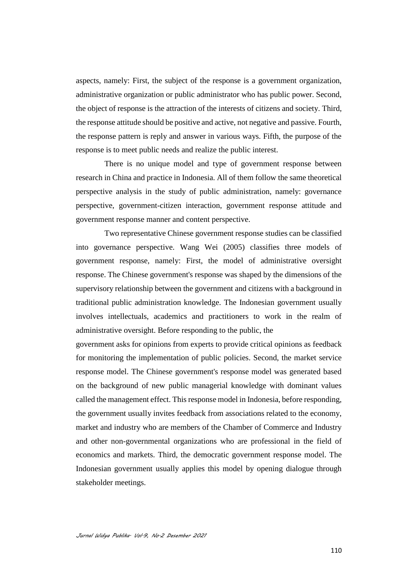aspects, namely: First, the subject of the response is a government organization, administrative organization or public administrator who has public power. Second, the object of response is the attraction of the interests of citizens and society. Third, the response attitude should be positive and active, not negative and passive. Fourth, the response pattern is reply and answer in various ways. Fifth, the purpose of the response is to meet public needs and realize the public interest.

There is no unique model and type of government response between research in China and practice in Indonesia. All of them follow the same theoretical perspective analysis in the study of public administration, namely: governance perspective, government-citizen interaction, government response attitude and government response manner and content perspective.

Two representative Chinese government response studies can be classified into governance perspective. Wang Wei (2005) classifies three models of government response, namely: First, the model of administrative oversight response. The Chinese government's response was shaped by the dimensions of the supervisory relationship between the government and citizens with a background in traditional public administration knowledge. The Indonesian government usually involves intellectuals, academics and practitioners to work in the realm of administrative oversight. Before responding to the public, the

government asks for opinions from experts to provide critical opinions as feedback for monitoring the implementation of public policies. Second, the market service response model. The Chinese government's response model was generated based on the background of new public managerial knowledge with dominant values called the management effect. This response model in Indonesia, before responding, the government usually invites feedback from associations related to the economy, market and industry who are members of the Chamber of Commerce and Industry and other non-governmental organizations who are professional in the field of economics and markets. Third, the democratic government response model. The Indonesian government usually applies this model by opening dialogue through stakeholder meetings.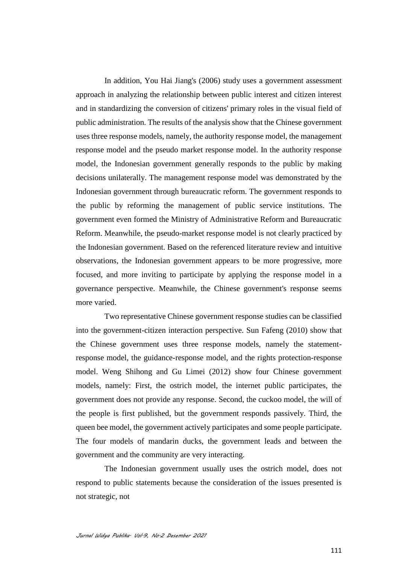In addition, You Hai Jiang's (2006) study uses a government assessment approach in analyzing the relationship between public interest and citizen interest and in standardizing the conversion of citizens' primary roles in the visual field of public administration. The results of the analysis show that the Chinese government uses three response models, namely, the authority response model, the management response model and the pseudo market response model. In the authority response model, the Indonesian government generally responds to the public by making decisions unilaterally. The management response model was demonstrated by the Indonesian government through bureaucratic reform. The government responds to the public by reforming the management of public service institutions. The government even formed the Ministry of Administrative Reform and Bureaucratic Reform. Meanwhile, the pseudo-market response model is not clearly practiced by the Indonesian government. Based on the referenced literature review and intuitive observations, the Indonesian government appears to be more progressive, more focused, and more inviting to participate by applying the response model in a governance perspective. Meanwhile, the Chinese government's response seems more varied.

Two representative Chinese government response studies can be classified into the government-citizen interaction perspective. Sun Fafeng (2010) show that the Chinese government uses three response models, namely the statementresponse model, the guidance-response model, and the rights protection-response model. Weng Shihong and Gu Limei (2012) show four Chinese government models, namely: First, the ostrich model, the internet public participates, the government does not provide any response. Second, the cuckoo model, the will of the people is first published, but the government responds passively. Third, the queen bee model, the government actively participates and some people participate. The four models of mandarin ducks, the government leads and between the government and the community are very interacting.

The Indonesian government usually uses the ostrich model, does not respond to public statements because the consideration of the issues presented is not strategic, not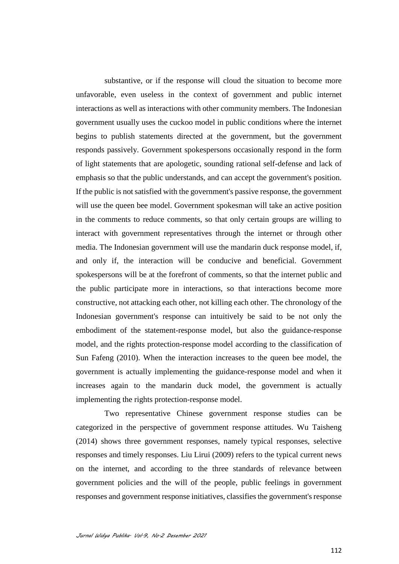substantive, or if the response will cloud the situation to become more unfavorable, even useless in the context of government and public internet interactions as well as interactions with other community members. The Indonesian government usually uses the cuckoo model in public conditions where the internet begins to publish statements directed at the government, but the government responds passively. Government spokespersons occasionally respond in the form of light statements that are apologetic, sounding rational self-defense and lack of emphasis so that the public understands, and can accept the government's position. If the public is not satisfied with the government's passive response, the government will use the queen bee model. Government spokesman will take an active position in the comments to reduce comments, so that only certain groups are willing to interact with government representatives through the internet or through other media. The Indonesian government will use the mandarin duck response model, if, and only if, the interaction will be conducive and beneficial. Government spokespersons will be at the forefront of comments, so that the internet public and the public participate more in interactions, so that interactions become more constructive, not attacking each other, not killing each other. The chronology of the Indonesian government's response can intuitively be said to be not only the embodiment of the statement-response model, but also the guidance-response model, and the rights protection-response model according to the classification of Sun Fafeng (2010). When the interaction increases to the queen bee model, the government is actually implementing the guidance-response model and when it increases again to the mandarin duck model, the government is actually implementing the rights protection-response model.

Two representative Chinese government response studies can be categorized in the perspective of government response attitudes. Wu Taisheng (2014) shows three government responses, namely typical responses, selective responses and timely responses. Liu Lirui (2009) refers to the typical current news on the internet, and according to the three standards of relevance between government policies and the will of the people, public feelings in government responses and government response initiatives, classifies the government's response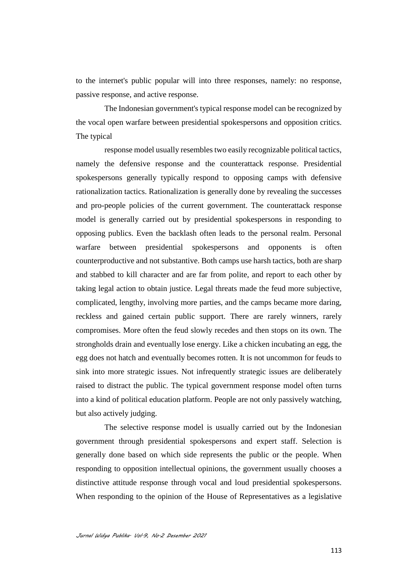to the internet's public popular will into three responses, namely: no response, passive response, and active response.

The Indonesian government's typical response model can be recognized by the vocal open warfare between presidential spokespersons and opposition critics. The typical

response model usually resembles two easily recognizable political tactics, namely the defensive response and the counterattack response. Presidential spokespersons generally typically respond to opposing camps with defensive rationalization tactics. Rationalization is generally done by revealing the successes and pro-people policies of the current government. The counterattack response model is generally carried out by presidential spokespersons in responding to opposing publics. Even the backlash often leads to the personal realm. Personal warfare between presidential spokespersons and opponents is often counterproductive and not substantive. Both camps use harsh tactics, both are sharp and stabbed to kill character and are far from polite, and report to each other by taking legal action to obtain justice. Legal threats made the feud more subjective, complicated, lengthy, involving more parties, and the camps became more daring, reckless and gained certain public support. There are rarely winners, rarely compromises. More often the feud slowly recedes and then stops on its own. The strongholds drain and eventually lose energy. Like a chicken incubating an egg, the egg does not hatch and eventually becomes rotten. It is not uncommon for feuds to sink into more strategic issues. Not infrequently strategic issues are deliberately raised to distract the public. The typical government response model often turns into a kind of political education platform. People are not only passively watching, but also actively judging.

The selective response model is usually carried out by the Indonesian government through presidential spokespersons and expert staff. Selection is generally done based on which side represents the public or the people. When responding to opposition intellectual opinions, the government usually chooses a distinctive attitude response through vocal and loud presidential spokespersons. When responding to the opinion of the House of Representatives as a legislative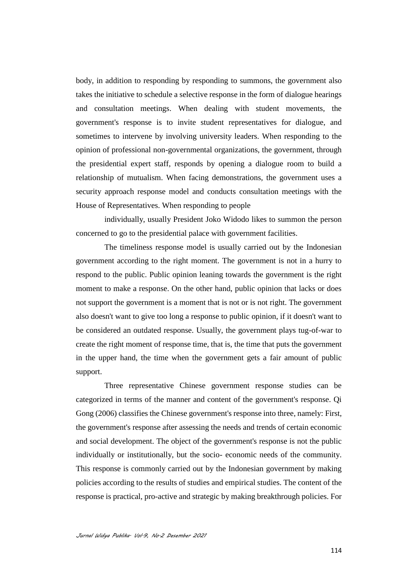body, in addition to responding by responding to summons, the government also takes the initiative to schedule a selective response in the form of dialogue hearings and consultation meetings. When dealing with student movements, the government's response is to invite student representatives for dialogue, and sometimes to intervene by involving university leaders. When responding to the opinion of professional non-governmental organizations, the government, through the presidential expert staff, responds by opening a dialogue room to build a relationship of mutualism. When facing demonstrations, the government uses a security approach response model and conducts consultation meetings with the House of Representatives. When responding to people

individually, usually President Joko Widodo likes to summon the person concerned to go to the presidential palace with government facilities.

The timeliness response model is usually carried out by the Indonesian government according to the right moment. The government is not in a hurry to respond to the public. Public opinion leaning towards the government is the right moment to make a response. On the other hand, public opinion that lacks or does not support the government is a moment that is not or is not right. The government also doesn't want to give too long a response to public opinion, if it doesn't want to be considered an outdated response. Usually, the government plays tug-of-war to create the right moment of response time, that is, the time that puts the government in the upper hand, the time when the government gets a fair amount of public support.

Three representative Chinese government response studies can be categorized in terms of the manner and content of the government's response. Qi Gong (2006) classifies the Chinese government's response into three, namely: First, the government's response after assessing the needs and trends of certain economic and social development. The object of the government's response is not the public individually or institutionally, but the socio- economic needs of the community. This response is commonly carried out by the Indonesian government by making policies according to the results of studies and empirical studies. The content of the response is practical, pro-active and strategic by making breakthrough policies. For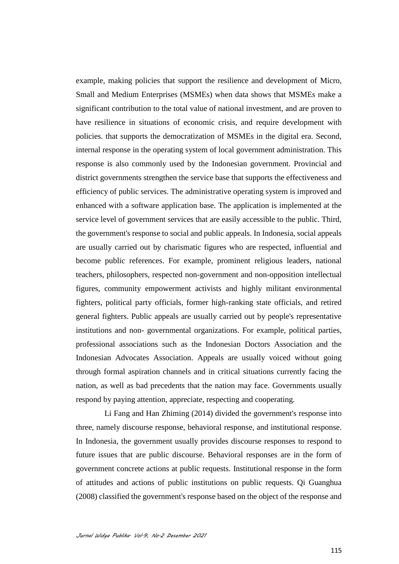example, making policies that support the resilience and development of Micro, Small and Medium Enterprises (MSMEs) when data shows that MSMEs make a significant contribution to the total value of national investment, and are proven to have resilience in situations of economic crisis, and require development with policies. that supports the democratization of MSMEs in the digital era. Second, internal response in the operating system of local government administration. This response is also commonly used by the Indonesian government. Provincial and district governments strengthen the service base that supports the effectiveness and efficiency of public services. The administrative operating system is improved and enhanced with a software application base. The application is implemented at the service level of government services that are easily accessible to the public. Third, the government's response to social and public appeals. In Indonesia, social appeals are usually carried out by charismatic figures who are respected, influential and become public references. For example, prominent religious leaders, national teachers, philosophers, respected non-government and non-opposition intellectual figures, community empowerment activists and highly militant environmental fighters, political party officials, former high-ranking state officials, and retired general fighters. Public appeals are usually carried out by people's representative institutions and non- governmental organizations. For example, political parties, professional associations such as the Indonesian Doctors Association and the Indonesian Advocates Association. Appeals are usually voiced without going through formal aspiration channels and in critical situations currently facing the nation, as well as bad precedents that the nation may face. Governments usually respond by paying attention, appreciate, respecting and cooperating.

Li Fang and Han Zhiming (2014) divided the government's response into three, namely discourse response, behavioral response, and institutional response. In Indonesia, the government usually provides discourse responses to respond to future issues that are public discourse. Behavioral responses are in the form of government concrete actions at public requests. Institutional response in the form of attitudes and actions of public institutions on public requests. Qi Guanghua (2008) classified the government's response based on the object of the response and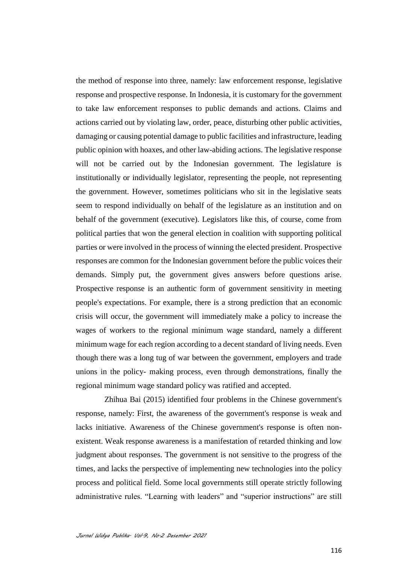the method of response into three, namely: law enforcement response, legislative response and prospective response. In Indonesia, it is customary for the government to take law enforcement responses to public demands and actions. Claims and actions carried out by violating law, order, peace, disturbing other public activities, damaging or causing potential damage to public facilities and infrastructure, leading public opinion with hoaxes, and other law-abiding actions. The legislative response will not be carried out by the Indonesian government. The legislature is institutionally or individually legislator, representing the people, not representing the government. However, sometimes politicians who sit in the legislative seats seem to respond individually on behalf of the legislature as an institution and on behalf of the government (executive). Legislators like this, of course, come from political parties that won the general election in coalition with supporting political parties or were involved in the process of winning the elected president. Prospective responses are common for the Indonesian government before the public voices their demands. Simply put, the government gives answers before questions arise. Prospective response is an authentic form of government sensitivity in meeting people's expectations. For example, there is a strong prediction that an economic crisis will occur, the government will immediately make a policy to increase the wages of workers to the regional minimum wage standard, namely a different minimum wage for each region according to a decent standard of living needs. Even though there was a long tug of war between the government, employers and trade unions in the policy- making process, even through demonstrations, finally the regional minimum wage standard policy was ratified and accepted.

Zhihua Bai (2015) identified four problems in the Chinese government's response, namely: First, the awareness of the government's response is weak and lacks initiative. Awareness of the Chinese government's response is often nonexistent. Weak response awareness is a manifestation of retarded thinking and low judgment about responses. The government is not sensitive to the progress of the times, and lacks the perspective of implementing new technologies into the policy process and political field. Some local governments still operate strictly following administrative rules. "Learning with leaders" and "superior instructions" are still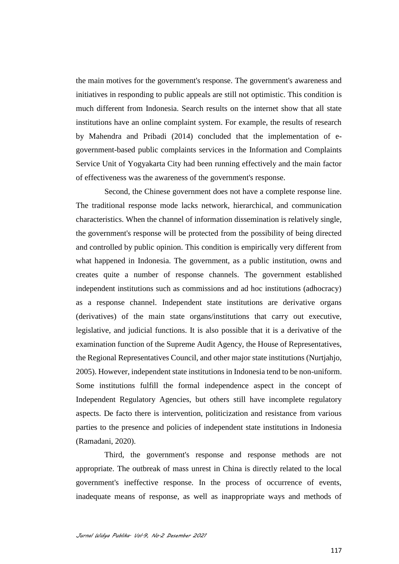the main motives for the government's response. The government's awareness and initiatives in responding to public appeals are still not optimistic. This condition is much different from Indonesia. Search results on the internet show that all state institutions have an online complaint system. For example, the results of research by Mahendra and Pribadi (2014) concluded that the implementation of egovernment-based public complaints services in the Information and Complaints Service Unit of Yogyakarta City had been running effectively and the main factor of effectiveness was the awareness of the government's response.

Second, the Chinese government does not have a complete response line. The traditional response mode lacks network, hierarchical, and communication characteristics. When the channel of information dissemination is relatively single, the government's response will be protected from the possibility of being directed and controlled by public opinion. This condition is empirically very different from what happened in Indonesia. The government, as a public institution, owns and creates quite a number of response channels. The government established independent institutions such as commissions and ad hoc institutions (adhocracy) as a response channel. Independent state institutions are derivative organs (derivatives) of the main state organs/institutions that carry out executive, legislative, and judicial functions. It is also possible that it is a derivative of the examination function of the Supreme Audit Agency, the House of Representatives, the Regional Representatives Council, and other major state institutions (Nurtjahjo, 2005). However, independent state institutions in Indonesia tend to be non-uniform. Some institutions fulfill the formal independence aspect in the concept of Independent Regulatory Agencies, but others still have incomplete regulatory aspects. De facto there is intervention, politicization and resistance from various parties to the presence and policies of independent state institutions in Indonesia (Ramadani, 2020).

Third, the government's response and response methods are not appropriate. The outbreak of mass unrest in China is directly related to the local government's ineffective response. In the process of occurrence of events, inadequate means of response, as well as inappropriate ways and methods of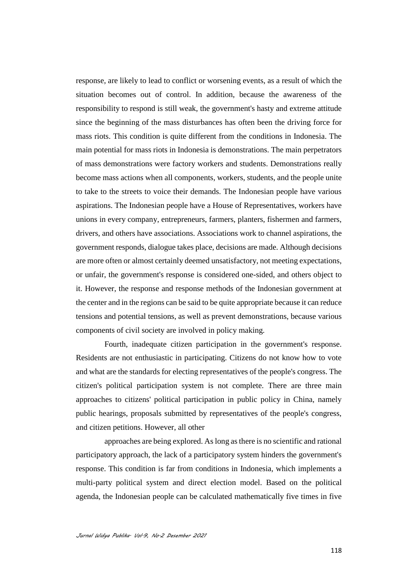response, are likely to lead to conflict or worsening events, as a result of which the situation becomes out of control. In addition, because the awareness of the responsibility to respond is still weak, the government's hasty and extreme attitude since the beginning of the mass disturbances has often been the driving force for mass riots. This condition is quite different from the conditions in Indonesia. The main potential for mass riots in Indonesia is demonstrations. The main perpetrators of mass demonstrations were factory workers and students. Demonstrations really become mass actions when all components, workers, students, and the people unite to take to the streets to voice their demands. The Indonesian people have various aspirations. The Indonesian people have a House of Representatives, workers have unions in every company, entrepreneurs, farmers, planters, fishermen and farmers, drivers, and others have associations. Associations work to channel aspirations, the government responds, dialogue takes place, decisions are made. Although decisions are more often or almost certainly deemed unsatisfactory, not meeting expectations, or unfair, the government's response is considered one-sided, and others object to it. However, the response and response methods of the Indonesian government at the center and in the regions can be said to be quite appropriate because it can reduce tensions and potential tensions, as well as prevent demonstrations, because various components of civil society are involved in policy making.

Fourth, inadequate citizen participation in the government's response. Residents are not enthusiastic in participating. Citizens do not know how to vote and what are the standards for electing representatives of the people's congress. The citizen's political participation system is not complete. There are three main approaches to citizens' political participation in public policy in China, namely public hearings, proposals submitted by representatives of the people's congress, and citizen petitions. However, all other

approaches are being explored. As long as there is no scientific and rational participatory approach, the lack of a participatory system hinders the government's response. This condition is far from conditions in Indonesia, which implements a multi-party political system and direct election model. Based on the political agenda, the Indonesian people can be calculated mathematically five times in five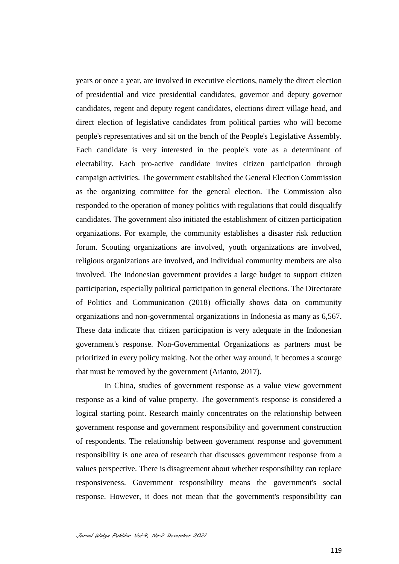years or once a year, are involved in executive elections, namely the direct election of presidential and vice presidential candidates, governor and deputy governor candidates, regent and deputy regent candidates, elections direct village head, and direct election of legislative candidates from political parties who will become people's representatives and sit on the bench of the People's Legislative Assembly. Each candidate is very interested in the people's vote as a determinant of electability. Each pro-active candidate invites citizen participation through campaign activities. The government established the General Election Commission as the organizing committee for the general election. The Commission also responded to the operation of money politics with regulations that could disqualify candidates. The government also initiated the establishment of citizen participation organizations. For example, the community establishes a disaster risk reduction forum. Scouting organizations are involved, youth organizations are involved, religious organizations are involved, and individual community members are also involved. The Indonesian government provides a large budget to support citizen participation, especially political participation in general elections. The Directorate of Politics and Communication (2018) officially shows data on community organizations and non-governmental organizations in Indonesia as many as 6,567. These data indicate that citizen participation is very adequate in the Indonesian government's response. Non-Governmental Organizations as partners must be prioritized in every policy making. Not the other way around, it becomes a scourge that must be removed by the government (Arianto, 2017).

In China, studies of government response as a value view government response as a kind of value property. The government's response is considered a logical starting point. Research mainly concentrates on the relationship between government response and government responsibility and government construction of respondents. The relationship between government response and government responsibility is one area of research that discusses government response from a values perspective. There is disagreement about whether responsibility can replace responsiveness. Government responsibility means the government's social response. However, it does not mean that the government's responsibility can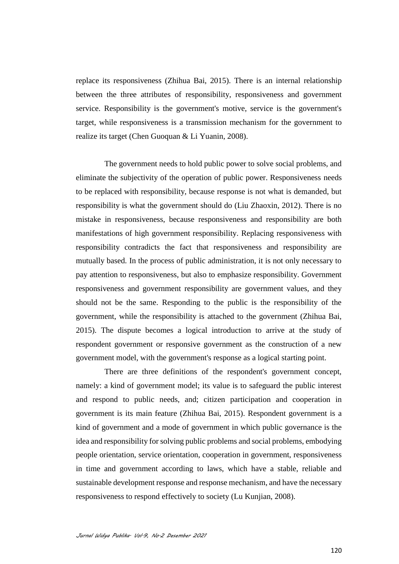replace its responsiveness (Zhihua Bai, 2015). There is an internal relationship between the three attributes of responsibility, responsiveness and government service. Responsibility is the government's motive, service is the government's target, while responsiveness is a transmission mechanism for the government to realize its target (Chen Guoquan & Li Yuanin, 2008).

The government needs to hold public power to solve social problems, and eliminate the subjectivity of the operation of public power. Responsiveness needs to be replaced with responsibility, because response is not what is demanded, but responsibility is what the government should do (Liu Zhaoxin, 2012). There is no mistake in responsiveness, because responsiveness and responsibility are both manifestations of high government responsibility. Replacing responsiveness with responsibility contradicts the fact that responsiveness and responsibility are mutually based. In the process of public administration, it is not only necessary to pay attention to responsiveness, but also to emphasize responsibility. Government responsiveness and government responsibility are government values, and they should not be the same. Responding to the public is the responsibility of the government, while the responsibility is attached to the government (Zhihua Bai, 2015). The dispute becomes a logical introduction to arrive at the study of respondent government or responsive government as the construction of a new government model, with the government's response as a logical starting point.

There are three definitions of the respondent's government concept, namely: a kind of government model; its value is to safeguard the public interest and respond to public needs, and; citizen participation and cooperation in government is its main feature (Zhihua Bai, 2015). Respondent government is a kind of government and a mode of government in which public governance is the idea and responsibility for solving public problems and social problems, embodying people orientation, service orientation, cooperation in government, responsiveness in time and government according to laws, which have a stable, reliable and sustainable development response and response mechanism, and have the necessary responsiveness to respond effectively to society (Lu Kunjian, 2008).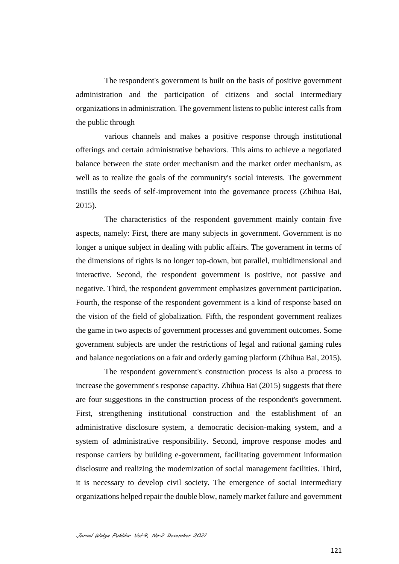The respondent's government is built on the basis of positive government administration and the participation of citizens and social intermediary organizations in administration. The government listens to public interest calls from the public through

various channels and makes a positive response through institutional offerings and certain administrative behaviors. This aims to achieve a negotiated balance between the state order mechanism and the market order mechanism, as well as to realize the goals of the community's social interests. The government instills the seeds of self-improvement into the governance process (Zhihua Bai, 2015).

The characteristics of the respondent government mainly contain five aspects, namely: First, there are many subjects in government. Government is no longer a unique subject in dealing with public affairs. The government in terms of the dimensions of rights is no longer top-down, but parallel, multidimensional and interactive. Second, the respondent government is positive, not passive and negative. Third, the respondent government emphasizes government participation. Fourth, the response of the respondent government is a kind of response based on the vision of the field of globalization. Fifth, the respondent government realizes the game in two aspects of government processes and government outcomes. Some government subjects are under the restrictions of legal and rational gaming rules and balance negotiations on a fair and orderly gaming platform (Zhihua Bai, 2015).

The respondent government's construction process is also a process to increase the government's response capacity. Zhihua Bai (2015) suggests that there are four suggestions in the construction process of the respondent's government. First, strengthening institutional construction and the establishment of an administrative disclosure system, a democratic decision-making system, and a system of administrative responsibility. Second, improve response modes and response carriers by building e-government, facilitating government information disclosure and realizing the modernization of social management facilities. Third, it is necessary to develop civil society. The emergence of social intermediary organizations helped repair the double blow, namely market failure and government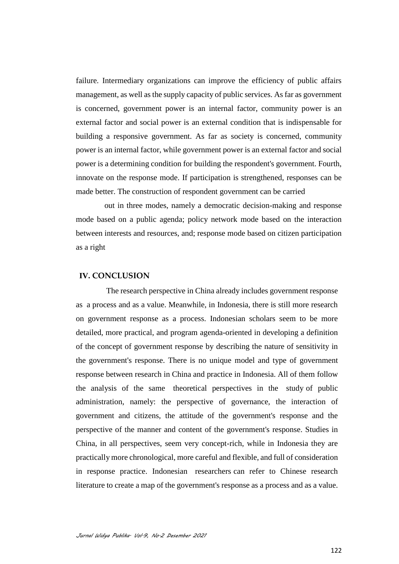failure. Intermediary organizations can improve the efficiency of public affairs management, as well as the supply capacity of public services. As far as government is concerned, government power is an internal factor, community power is an external factor and social power is an external condition that is indispensable for building a responsive government. As far as society is concerned, community power is an internal factor, while government power is an external factor and social power is a determining condition for building the respondent's government. Fourth, innovate on the response mode. If participation is strengthened, responses can be made better. The construction of respondent government can be carried

out in three modes, namely a democratic decision-making and response mode based on a public agenda; policy network mode based on the interaction between interests and resources, and; response mode based on citizen participation as a right

## **IV. CONCLUSION**

The research perspective in China already includes government response as a process and as a value. Meanwhile, in Indonesia, there is still more research on government response as a process. Indonesian scholars seem to be more detailed, more practical, and program agenda-oriented in developing a definition of the concept of government response by describing the nature of sensitivity in the government's response. There is no unique model and type of government response between research in China and practice in Indonesia. All of them follow the analysis of the same theoretical perspectives in the study of public administration, namely: the perspective of governance, the interaction of government and citizens, the attitude of the government's response and the perspective of the manner and content of the government's response. Studies in China, in all perspectives, seem very concept-rich, while in Indonesia they are practically more chronological, more careful and flexible, and full of consideration in response practice. Indonesian researchers can refer to Chinese research literature to create a map of the government's response as a process and as a value.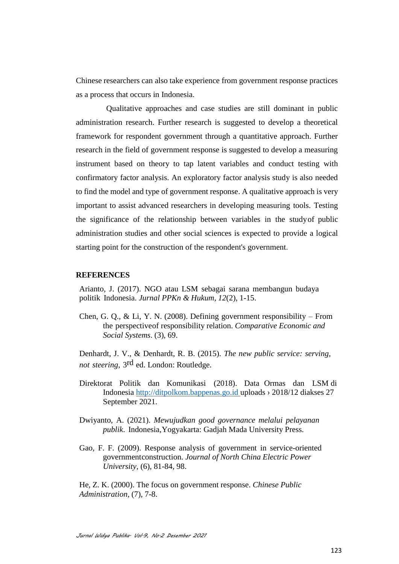Chinese researchers can also take experience from government response practices as a process that occurs in Indonesia.

Qualitative approaches and case studies are still dominant in public administration research. Further research is suggested to develop a theoretical framework for respondent government through a quantitative approach. Further research in the field of government response is suggested to develop a measuring instrument based on theory to tap latent variables and conduct testing with confirmatory factor analysis. An exploratory factor analysis study is also needed to find the model and type of government response. A qualitative approach is very important to assist advanced researchers in developing measuring tools. Testing the significance of the relationship between variables in the studyof public administration studies and other social sciences is expected to provide a logical starting point for the construction of the respondent's government.

### **REFERENCES**

Arianto, J. (2017). NGO atau LSM sebagai sarana membangun budaya politik Indonesia. *Jurnal PPKn & Hukum*, *12*(2), 1-15.

Chen, G. O., & [Li,](https://caod.oriprobe.com/articles/found.htm?key_author=Li%2BYuanlin) Y. N. (2008). Defining government responsibility – From the perspectiveof responsibility relation. *Comparative Economic and Social Systems*. (3), 69.

Denhardt, J. V., & Denhardt, R. B. (2015). *The new public service: serving, not steering*, 3rd ed. London: Routledge.

- Direktorat Politik dan Komunikasi (2018). Data Ormas dan LSM di Indonesia http://ditpolkom.bappenas.go.id uploads › 2018/12 diakses 27 September 2021.
- Dwiyanto, A. (2021). *Mewujudkan good governance melalui pelayanan publik*. Indonesia,Yogyakarta: Gadjah Mada University Press.
- Gao, F. F. (2009). Response analysis of government in service-oriented governmentconstruction. *Journal of North China Electric Power University*, (6), 81-84, 98.

He, Z. K. (2000). The focus on government response. *Chinese Public Administration*, (7), 7-8.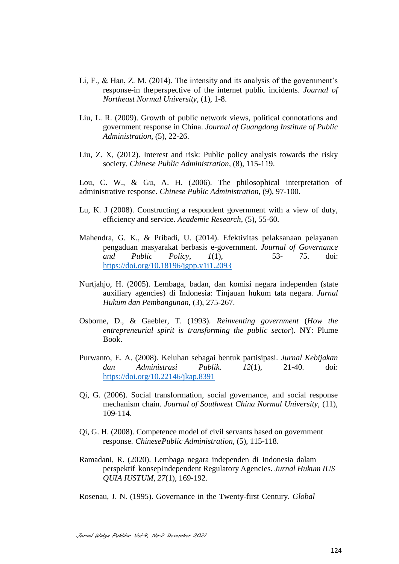- Li, F., & Han, Z. M. (2014). The intensity and its analysis of the government's response-in theperspective of the internet public incidents. *Journal of Northeast Normal University*, (1), 1-8.
- Liu, L. R. (2009). Growth of public network views, political connotations and government response in China. *Journal of Guangdong Institute of Public Administration*, (5), 22-26.
- Liu, Z. X, (2012). Interest and risk: Public policy analysis towards the risky society. *[Chinese](https://caod.oriprobe.com/journals/caod_6321/Chinese_Public_Administration.htm) Public [Administration](https://caod.oriprobe.com/journals/caod_6321/Chinese_Public_Administration.htm)*, (8), 115-119.

Lou, C. W., & Gu, A. H. (2006). The philosophical interpretation of administrative response. *Chinese Public Administration*, (9), 97-100.

- [Lu, K. J](https://caod.oriprobe.com/articles/found.htm?key_author=Lu%2BKunjian) (2008). Constructing a respondent government with a view of duty, efficiency and service. *Academic Research,* (5), 55-60.
- Mahendra, G. K., & Pribadi, U. (2014). Efektivitas pelaksanaan pelayanan pengaduan masyarakat berbasis e-government. *Journal of Governance and Public Policy*, *1*(1), 53- 75. doi: <https://doi.org/10.18196/jgpp.v1i1.2093>
- Nurtjahjo, H. (2005). Lembaga, badan, dan komisi negara independen (state auxiliary agencies) di Indonesia: Tinjauan hukum tata negara. *Jurnal Hukum dan Pembangunan*, (3), 275-267.
- Osborne, D., & Gaebler, T. (1993). *Reinventing government* (*How the entrepreneurial spirit is transforming the public sector*). NY: Plume Book.
- Purwanto, E. A. (2008). Keluhan sebagai bentuk partisipasi. *Jurnal Kebijakan dan Administrasi Publik*. *12*(1), 21-40. doi: <https://doi.org/10.22146/jkap.8391>
- Qi, G. (2006). Social transformation, social governance, and social response mechanism chain. *Journal of Southwest China Normal University*, (11), 109-114.
- Qi, G. H. (2008). Competence model of civil servants based on government response. *ChinesePublic Administration*, (5), 115-118.
- Ramadani, R. (2020). Lembaga negara independen di Indonesia dalam perspektif konsepIndependent Regulatory Agencies. *Jurnal Hukum IUS QUIA IUSTUM*, *27*(1), 169-192.

Rosenau, J. N. (1995). Governance in the Twenty-first Century. *Global*